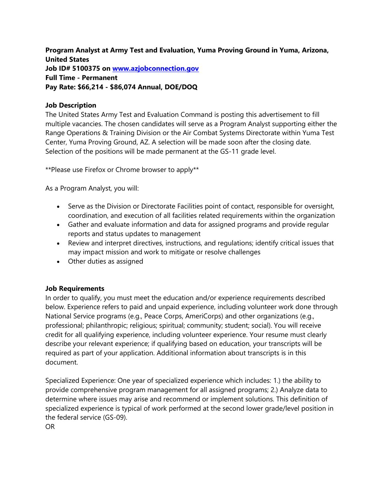**Program Analyst at Army Test and Evaluation, Yuma Proving Ground in Yuma, Arizona, United States Job ID# 5100375 on [www.azjobconnection.gov](http://www.azjobconnection.gov/) Full Time - Permanent Pay Rate: \$66,214 - \$86,074 Annual, DOE/DOQ**

## **Job Description**

The United States Army Test and Evaluation Command is posting this advertisement to fill multiple vacancies. The chosen candidates will serve as a Program Analyst supporting either the Range Operations & Training Division or the Air Combat Systems Directorate within Yuma Test Center, Yuma Proving Ground, AZ. A selection will be made soon after the closing date. Selection of the positions will be made permanent at the GS-11 grade level.

\*\*Please use Firefox or Chrome browser to apply\*\*

As a Program Analyst, you will:

- Serve as the Division or Directorate Facilities point of contact, responsible for oversight, coordination, and execution of all facilities related requirements within the organization
- Gather and evaluate information and data for assigned programs and provide regular reports and status updates to management
- Review and interpret directives, instructions, and regulations; identify critical issues that may impact mission and work to mitigate or resolve challenges
- Other duties as assigned

## **Job Requirements**

In order to qualify, you must meet the education and/or experience requirements described below. Experience refers to paid and unpaid experience, including volunteer work done through National Service programs (e.g., Peace Corps, AmeriCorps) and other organizations (e.g., professional; philanthropic; religious; spiritual; community; student; social). You will receive credit for all qualifying experience, including volunteer experience. Your resume must clearly describe your relevant experience; if qualifying based on education, your transcripts will be required as part of your application. Additional information about transcripts is in this document.

Specialized Experience: One year of specialized experience which includes: 1.) the ability to provide comprehensive program management for all assigned programs; 2.) Analyze data to determine where issues may arise and recommend or implement solutions. This definition of specialized experience is typical of work performed at the second lower grade/level position in the federal service (GS-09).

OR